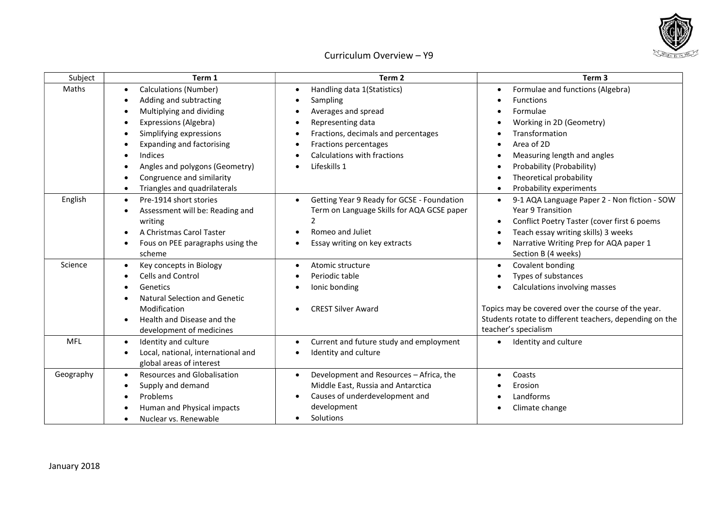

## Curriculum Overview – Y9

| Subject    | Term 1                                   | Term 2                                                  | Term 3                                                    |
|------------|------------------------------------------|---------------------------------------------------------|-----------------------------------------------------------|
| Maths      | Calculations (Number)                    | Handling data 1(Statistics)                             | Formulae and functions (Algebra)<br>$\bullet$             |
|            | Adding and subtracting                   | Sampling                                                | <b>Functions</b>                                          |
|            | Multiplying and dividing                 | Averages and spread                                     | Formulae                                                  |
|            | Expressions (Algebra)                    | Representing data                                       | Working in 2D (Geometry)                                  |
|            | Simplifying expressions                  | Fractions, decimals and percentages                     | Transformation                                            |
|            | <b>Expanding and factorising</b>         | Fractions percentages                                   | Area of 2D                                                |
|            | Indices                                  | <b>Calculations with fractions</b>                      | Measuring length and angles                               |
|            | Angles and polygons (Geometry)           | Lifeskills 1                                            | Probability (Probability)                                 |
|            | Congruence and similarity                |                                                         | Theoretical probability                                   |
|            | Triangles and quadrilaterals             |                                                         | Probability experiments                                   |
| English    | Pre-1914 short stories                   | Getting Year 9 Ready for GCSE - Foundation<br>$\bullet$ | 9-1 AQA Language Paper 2 - Non flction - SOW<br>$\bullet$ |
|            | Assessment will be: Reading and          | Term on Language Skills for AQA GCSE paper              | Year 9 Transition                                         |
|            | writing                                  | $\overline{2}$                                          | Conflict Poetry Taster (cover first 6 poems               |
|            | A Christmas Carol Taster                 | Romeo and Juliet                                        | Teach essay writing skills) 3 weeks                       |
|            | Fous on PEE paragraphs using the         | Essay writing on key extracts                           | Narrative Writing Prep for AQA paper 1<br>$\bullet$       |
|            | scheme                                   |                                                         | Section B (4 weeks)                                       |
| Science    | Key concepts in Biology                  | Atomic structure                                        | Covalent bonding                                          |
|            | <b>Cells and Control</b>                 | Periodic table                                          | Types of substances                                       |
|            | Genetics                                 | lonic bonding                                           | Calculations involving masses                             |
|            | <b>Natural Selection and Genetic</b>     |                                                         |                                                           |
|            | Modification                             | <b>CREST Silver Award</b>                               | Topics may be covered over the course of the year.        |
|            | Health and Disease and the               |                                                         | Students rotate to different teachers, depending on the   |
|            | development of medicines                 |                                                         | teacher's specialism                                      |
| <b>MFL</b> | Identity and culture<br>$\bullet$        | Current and future study and employment<br>$\bullet$    | Identity and culture<br>$\bullet$                         |
|            | Local, national, international and       | Identity and culture                                    |                                                           |
|            | global areas of interest                 |                                                         |                                                           |
| Geography  | Resources and Globalisation<br>$\bullet$ | Development and Resources - Africa, the                 | Coasts<br>$\bullet$                                       |
|            | Supply and demand                        | Middle East, Russia and Antarctica                      | Erosion                                                   |
|            | Problems                                 | Causes of underdevelopment and                          | Landforms                                                 |
|            | Human and Physical impacts               | development                                             | Climate change                                            |
|            | Nuclear vs. Renewable                    | Solutions                                               |                                                           |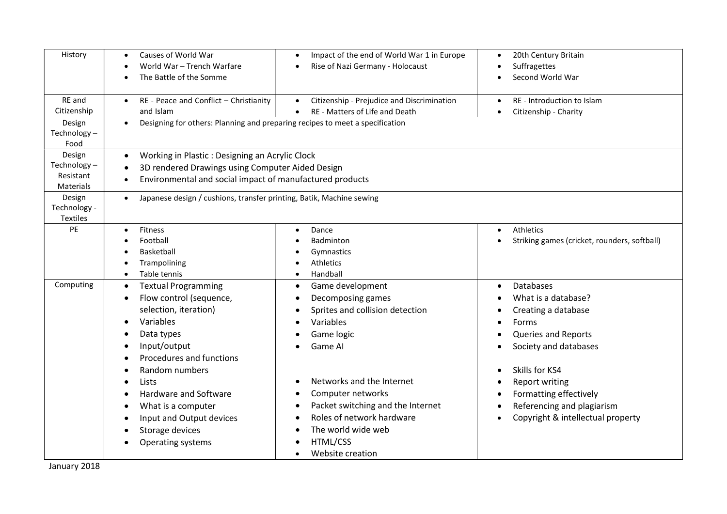| History                                         | Causes of World War<br>World War - Trench Warfare<br>The Battle of the Somme                                                                                                                                   | Impact of the end of World War 1 in Europe<br>Rise of Nazi Germany - Holocaust                                                                                         | 20th Century Britain<br>Suffragettes<br>Second World War                                                                                                                                |  |
|-------------------------------------------------|----------------------------------------------------------------------------------------------------------------------------------------------------------------------------------------------------------------|------------------------------------------------------------------------------------------------------------------------------------------------------------------------|-----------------------------------------------------------------------------------------------------------------------------------------------------------------------------------------|--|
| RE and<br>Citizenship<br>Design                 | RE - Peace and Conflict - Christianity<br>$\bullet$<br>and Islam<br>Designing for others: Planning and preparing recipes to meet a specification<br>$\bullet$                                                  | Citizenship - Prejudice and Discrimination<br>$\bullet$<br>RE - Matters of Life and Death<br>$\bullet$                                                                 | RE - Introduction to Islam<br>$\bullet$<br>Citizenship - Charity<br>$\bullet$                                                                                                           |  |
| Technology-<br>Food                             |                                                                                                                                                                                                                |                                                                                                                                                                        |                                                                                                                                                                                         |  |
| Design<br>Technology-<br>Resistant<br>Materials | $\bullet$<br>$\bullet$                                                                                                                                                                                         | Working in Plastic: Designing an Acrylic Clock<br>3D rendered Drawings using Computer Aided Design<br>Environmental and social impact of manufactured products         |                                                                                                                                                                                         |  |
| Design<br>Technology -<br>Textiles              | $\bullet$                                                                                                                                                                                                      | Japanese design / cushions, transfer printing, Batik, Machine sewing                                                                                                   |                                                                                                                                                                                         |  |
| PE                                              | Fitness<br>Football<br>Basketball<br>Trampolining<br>Table tennis                                                                                                                                              | Dance<br>Badminton<br>Gymnastics<br>Athletics<br>Handball                                                                                                              | Athletics<br>Striking games (cricket, rounders, softball)                                                                                                                               |  |
| Computing                                       | <b>Textual Programming</b><br>$\bullet$<br>Flow control (sequence,<br>$\bullet$<br>selection, iteration)<br>Variables<br>$\bullet$<br>Data types<br>Input/output<br>Procedures and functions<br>Random numbers | Game development<br>Decomposing games<br>Sprites and collision detection<br>Variables<br>Game logic<br>Game AI                                                         | <b>Databases</b><br>$\bullet$<br>What is a database?<br>Creating a database<br><b>Forms</b><br>Queries and Reports<br>Society and databases<br>$\bullet$<br>Skills for KS4<br>$\bullet$ |  |
|                                                 | Lists<br>$\bullet$<br>Hardware and Software<br>What is a computer<br>Input and Output devices<br>Storage devices<br>Operating systems                                                                          | Networks and the Internet<br>Computer networks<br>Packet switching and the Internet<br>Roles of network hardware<br>The world wide web<br>HTML/CSS<br>Website creation | <b>Report writing</b><br>٠<br>Formatting effectively<br>Referencing and plagiarism<br>Copyright & intellectual property                                                                 |  |

January 2018